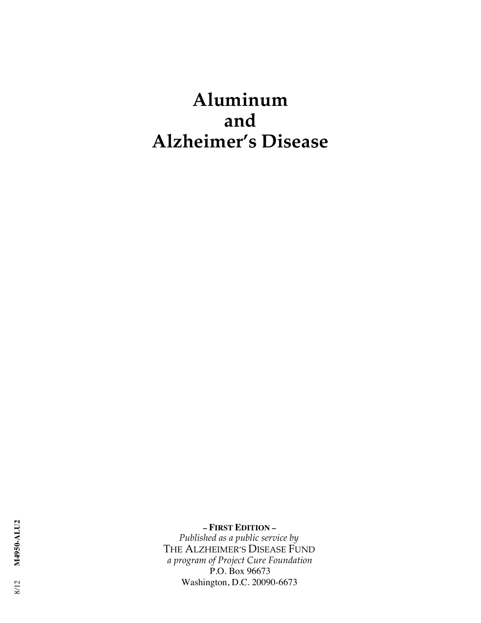# **Aluminum and Alzheimer's Disease**

THE ALZHEIMER'S DISEASE FUND  *a program of Project Cure Foundation* P.O. Box 96673 Washington, D.C. 20090-6673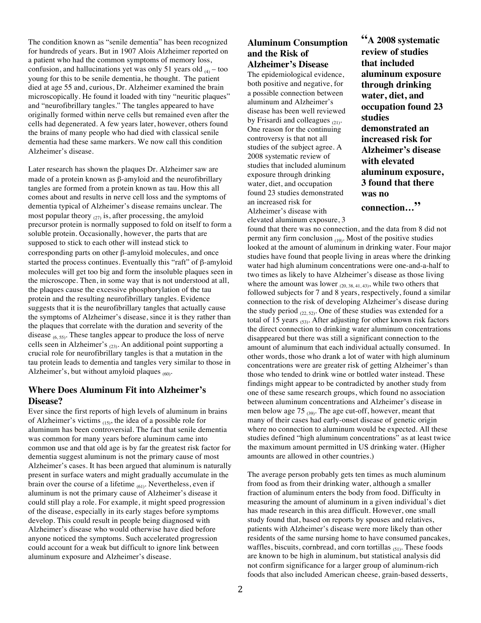The condition known as "senile dementia" has been recognized for hundreds of years. But in 1907 Alois Alzheimer reported on a patient who had the common symptoms of memory loss, confusion, and hallucinations yet was only 51 years old  $_{(4)}$  – too young for this to be senile dementia, he thought. The patient died at age 55 and, curious, Dr. Alzheimer examined the brain microscopically. He found it loaded with tiny "neuritic plaques" and "neurofibrillary tangles." The tangles appeared to have originally formed within nerve cells but remained even after the cells had degenerated. A few years later, however, others found the brains of many people who had died with classical senile dementia had these same markers. We now call this condition Alzheimer's disease.

Later research has shown the plaques Dr. Alzheimer saw are made of a protein known as β-amyloid and the neurofibrillary tangles are formed from a protein known as tau. How this all comes about and results in nerve cell loss and the symptoms of dementia typical of Alzheimer's disease remains unclear. The most popular theory  $_{(27)}$  is, after processing, the amyloid precursor protein is normally supposed to fold on itself to form a soluble protein. Occasionally, however, the parts that are supposed to stick to each other will instead stick to corresponding parts on other β-amyloid molecules, and once started the process continues. Eventually this "raft" of β-amyloid molecules will get too big and form the insoluble plaques seen in the microscope. Then, in some way that is not understood at all, the plaques cause the excessive phosphorylation of the tau protein and the resulting neurofibrillary tangles. Evidence suggests that it is the neurofibrillary tangles that actually cause the symptoms of Alzheimer's disease, since it is they rather than the plaques that correlate with the duration and severity of the disease  $_{(6, 55)}$ . These tangles appear to produce the loss of nerve cells seen in Alzheimer's (23). An additional point supporting a crucial role for neurofibrillary tangles is that a mutation in the tau protein leads to dementia and tangles very similar to those in Alzheimer's, but without amyloid plaques  $_{(60)}$ .

## **Where Does Aluminum Fit into Alzheimer's Disease?**

Ever since the first reports of high levels of aluminum in brains of Alzheimer's victims  $(15)$ , the idea of a possible role for aluminum has been controversial. The fact that senile dementia was common for many years before aluminum came into common use and that old age is by far the greatest risk factor for dementia suggest aluminum is not the primary cause of most Alzheimer's cases. It has been argued that aluminum is naturally present in surface waters and might gradually accumulate in the brain over the course of a lifetime  $_{(61)}$ . Nevertheless, even if aluminum is not the primary cause of Alzheimer's disease it could still play a role. For example, it might speed progression of the disease, especially in its early stages before symptoms develop. This could result in people being diagnosed with Alzheimer's disease who would otherwise have died before anyone noticed the symptoms. Such accelerated progression could account for a weak but difficult to ignore link between aluminum exposure and Alzheimer's disease.

## **Aluminum Consumption and the Risk of Alzheimer's Disease**

The epidemiological evidence, both positive and negative, for a possible connection between aluminum and Alzheimer's disease has been well reviewed by Frisardi and colleagues  $_{(21)}$ . One reason for the continuing controversy is that not all studies of the subject agree. A 2008 systematic review of studies that included aluminum exposure through drinking water, diet, and occupation found 23 studies demonstrated an increased risk for Alzheimer's disease with elevated aluminum exposure, 3 **"A 2008 systematic review of studies that included aluminum exposure through drinking water, diet, and occupation found 23 studies demonstrated an increased risk for Alzheimer's disease with elevated aluminum exposure, 3 found that there was no connection…"**

found that there was no connection, and the data from 8 did not permit any firm conclusion  $(19)$ . Most of the positive studies looked at the amount of aluminum in drinking water. Four major studies have found that people living in areas where the drinking water had high aluminum concentrations were one-and-a-half to two times as likely to have Alzheimer's disease as those living where the amount was lower  $_{(20, 38, 41, 43)}$ , while two others that followed subjects for 7 and 8 years, respectively, found a similar connection to the risk of developing Alzheimer's disease during the study period  $_{(22, 52)}$ . One of these studies was extended for a total of 15 years  $_{(53)}$ . After adjusting for other known risk factors the direct connection to drinking water aluminum concentrations disappeared but there was still a significant connection to the amount of aluminum that each individual actually consumed. In other words, those who drank a lot of water with high aluminum concentrations were are greater risk of getting Alzheimer's than those who tended to drink wine or bottled water instead. These findings might appear to be contradicted by another study from one of these same research groups, which found no association between aluminum concentrations and Alzheimer's disease in men below age 75 (39). The age cut-off, however, meant that many of their cases had early-onset disease of genetic origin where no connection to aluminum would be expected. All these studies defined "high aluminum concentrations" as at least twice the maximum amount permitted in US drinking water. (Higher amounts are allowed in other countries.)

The average person probably gets ten times as much aluminum from food as from their drinking water, although a smaller fraction of aluminum enters the body from food. Difficulty in measuring the amount of aluminum in a given individual's diet has made research in this area difficult. However, one small study found that, based on reports by spouses and relatives, patients with Alzheimer's disease were more likely than other residents of the same nursing home to have consumed pancakes, waffles, biscuits, cornbread, and corn tortillas  $_{(51)}$ . These foods are known to be high in aluminum, but statistical analysis did not confirm significance for a larger group of aluminum-rich foods that also included American cheese, grain-based desserts,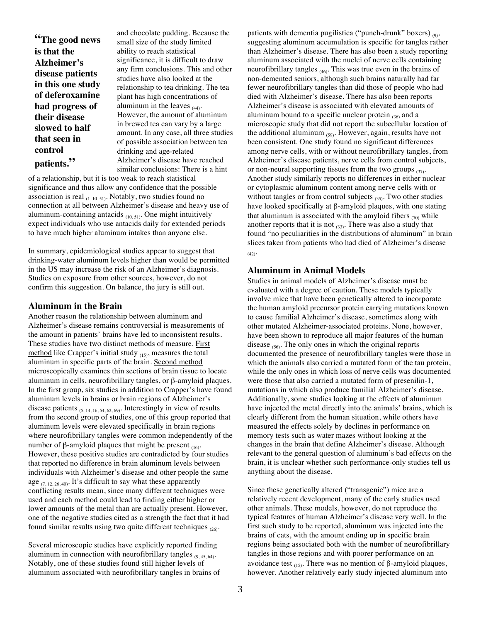**"The good news is that the Alzheimer's disease patients in this one study of deferoxamine had progress of their disease slowed to half that seen in control patients."**

and chocolate pudding. Because the small size of the study limited ability to reach statistical significance, it is difficult to draw any firm conclusions. This and other studies have also looked at the relationship to tea drinking. The tea plant has high concentrations of aluminum in the leaves  $(44)$ . However, the amount of aluminum in brewed tea can vary by a large amount. In any case, all three studies of possible association between tea drinking and age-related Alzheimer's disease have reached similar conclusions: There is a hint

of a relationship, but it is too weak to reach statistical significance and thus allow any confidence that the possible association is real  $_{(1, 10, 51)}$ . Notably, two studies found no connection at all between Alzheimer's disease and heavy use of aluminum-containing antacids  $_{(10, 51)}$ . One might intuitively expect individuals who use antacids daily for extended periods to have much higher aluminum intakes than anyone else.

In summary, epidemiological studies appear to suggest that drinking-water aluminum levels higher than would be permitted in the US may increase the risk of an Alzheimer's diagnosis. Studies on exposure from other sources, however, do not confirm this suggestion. On balance, the jury is still out.

#### **Aluminum in the Brain**

Another reason the relationship between aluminum and Alzheimer's disease remains controversial is measurements of the amount in patients' brains have led to inconsistent results. These studies have two distinct methods of measure. First method like Crapper's initial study  $_{(15)}$ , measures the total aluminum in specific parts of the brain. Second method microscopically examines thin sections of brain tissue to locate aluminum in cells, neurofibrillary tangles, or β-amyloid plaques. In the first group, six studies in addition to Crapper's have found aluminum levels in brains or brain regions of Alzheimer's disease patients (5, 14, 16, 54, 62, 69). Interestingly in view of results from the second group of studies, one of this group reported that aluminum levels were elevated specifically in brain regions where neurofibrillary tangles were common independently of the number of β-amyloid plaques that might be present  $(16)$ . However, these positive studies are contradicted by four studies that reported no difference in brain aluminum levels between individuals with Alzheimer's disease and other people the same age  $_{(7, 12, 26, 40)}$ . It's difficult to say what these apparently conflicting results mean, since many different techniques were used and each method could lead to finding either higher or lower amounts of the metal than are actually present. However, one of the negative studies cited as a strength the fact that it had found similar results using two quite different techniques  $_{(26)}$ .

Several microscopic studies have explicitly reported finding aluminum in connection with neurofibrillary tangles  $_{(9, 45, 64)}$ . Notably, one of these studies found still higher levels of aluminum associated with neurofibrillary tangles in brains of patients with dementia pugilistica ("punch-drunk" boxers)  $_{(9)}$ , suggesting aluminum accumulation is specific for tangles rather than Alzheimer's disease. There has also been a study reporting aluminum associated with the nuclei of nerve cells containing neurofibrillary tangles  $_{(46)}$ . This was true even in the brains of non-demented seniors, although such brains naturally had far fewer neurofibrillary tangles than did those of people who had died with Alzheimer's disease. There has also been reports Alzheimer's disease is associated with elevated amounts of aluminum bound to a specific nuclear protein  $_{(36)}$  and a microscopic study that did not report the subcellular location of the additional aluminum  $_{(59)}$ . However, again, results have not been consistent. One study found no significant differences among nerve cells, with or without neurofibrillary tangles, from Alzheimer's disease patients, nerve cells from control subjects, or non-neural supporting tissues from the two groups  $_{(37)}$ . Another study similarly reports no differences in either nuclear or cytoplasmic aluminum content among nerve cells with or without tangles or from control subjects  $(35)$ . Two other studies have looked specifically at β-amyloid plaques, with one stating that aluminum is associated with the amyloid fibers  $_{(70)}$  while another reports that it is not  $_{(33)}$ . There was also a study that found "no peculiarities in the distributions of aluminum" in brain slices taken from patients who had died of Alzheimer's disease  $(42)$ <sup>\*</sup>

#### **Aluminum in Animal Models**

Studies in animal models of Alzheimer's disease must be evaluated with a degree of caution. These models typically involve mice that have been genetically altered to incorporate the human amyloid precursor protein carrying mutations known to cause familial Alzheimer's disease, sometimes along with other mutated Alzheimer-associated proteins. None, however, have been shown to reproduce all major features of the human disease  $(56)$ . The only ones in which the original reports documented the presence of neurofibrillary tangles were those in which the animals also carried a mutated form of the tau protein, while the only ones in which loss of nerve cells was documented were those that also carried a mutated form of presenilin-1, mutations in which also produce familial Alzheimer's disease. Additionally, some studies looking at the effects of aluminum have injected the metal directly into the animals' brains, which is clearly different from the human situation, while others have measured the effects solely by declines in performance on memory tests such as water mazes without looking at the changes in the brain that define Alzheimer's disease. Although relevant to the general question of aluminum's bad effects on the brain, it is unclear whether such performance-only studies tell us anything about the disease.

Since these genetically altered ("transgenic") mice are a relatively recent development, many of the early studies used other animals. These models, however, do not reproduce the typical features of human Alzheimer's disease very well. In the first such study to be reported, aluminum was injected into the brains of cats, with the amount ending up in specific brain regions being associated both with the number of neurofibrillary tangles in those regions and with poorer performance on an avoidance test  $(15)$ . There was no mention of β-amyloid plaques, however. Another relatively early study injected aluminum into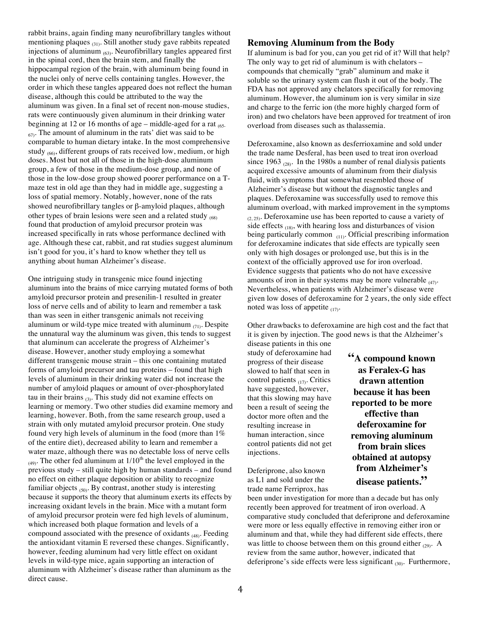rabbit brains, again finding many neurofibrillary tangles without mentioning plaques  $_{(31)}$ . Still another study gave rabbits repeated injections of aluminum  $(63)$ . Neurofibrillary tangles appeared first in the spinal cord, then the brain stem, and finally the hippocampal region of the brain, with aluminum being found in the nuclei only of nerve cells containing tangles. However, the order in which these tangles appeared does not reflect the human disease, although this could be attributed to the way the aluminum was given. In a final set of recent non-mouse studies, rats were continuously given aluminum in their drinking water beginning at 12 or 16 months of age – middle-aged for a rat  $_{(65)}$  $_{67}$ . The amount of aluminum in the rats' diet was said to be comparable to human dietary intake. In the most comprehensive study <sub>(66)</sub>, different groups of rats received low, medium, or high doses. Most but not all of those in the high-dose aluminum group, a few of those in the medium-dose group, and none of those in the low-dose group showed poorer performance on a Tmaze test in old age than they had in middle age, suggesting a loss of spatial memory. Notably, however, none of the rats showed neurofibrillary tangles or β-amyloid plaques, although other types of brain lesions were seen and a related study (68) found that production of amyloid precursor protein was increased specifically in rats whose performance declined with age. Although these cat, rabbit, and rat studies suggest aluminum isn't good for you, it's hard to know whether they tell us anything about human Alzheimer's disease.

One intriguing study in transgenic mice found injecting aluminum into the brains of mice carrying mutated forms of both amyloid precursor protein and presenilin-1 resulted in greater loss of nerve cells and of ability to learn and remember a task than was seen in either transgenic animals not receiving aluminum or wild-type mice treated with aluminum  $_{(71)}$ . Despite the unnatural way the aluminum was given, this tends to suggest that aluminum can accelerate the progress of Alzheimer's disease. However, another study employing a somewhat different transgenic mouse strain – this one containing mutated forms of amyloid precursor and tau proteins – found that high levels of aluminum in their drinking water did not increase the number of amyloid plaques or amount of over-phosphorylated tau in their brains  $_{(3)}$ . This study did not examine effects on learning or memory. Two other studies did examine memory and learning, however. Both, from the same research group, used a strain with only mutated amyloid precursor protein. One study found very high levels of aluminum in the food (more than 1% of the entire diet), decreased ability to learn and remember a water maze, although there was no detectable loss of nerve cells  $(49)$ . The other fed aluminum at  $1/10<sup>th</sup>$  the level employed in the previous study – still quite high by human standards – and found no effect on either plaque deposition or ability to recognize familiar objects  $_{(50)}$ . By contrast, another study is interesting because it supports the theory that aluminum exerts its effects by increasing oxidant levels in the brain. Mice with a mutant form of amyloid precursor protein were fed high levels of aluminum, which increased both plaque formation and levels of a compound associated with the presence of oxidants (48). Feeding the antioxidant vitamin E reversed these changes. Significantly, however, feeding aluminum had very little effect on oxidant levels in wild-type mice, again supporting an interaction of aluminum with Alzheimer's disease rather than aluminum as the direct cause.

## **Removing Aluminum from the Body**

If aluminum is bad for you, can you get rid of it? Will that help? The only way to get rid of aluminum is with chelators – compounds that chemically "grab" aluminum and make it soluble so the urinary system can flush it out of the body. The FDA has not approved any chelators specifically for removing aluminum. However, the aluminum ion is very similar in size and charge to the ferric ion (the more highly charged form of iron) and two chelators have been approved for treatment of iron overload from diseases such as thalassemia.

Deferoxamine, also known as desferrioxamine and sold under the trade name Desferal, has been used to treat iron overload since 1963  $_{(28)}$ . In the 1980s a number of renal dialysis patients acquired excessive amounts of aluminum from their dialysis fluid, with symptoms that somewhat resembled those of Alzheimer's disease but without the diagnostic tangles and plaques. Deferoxamine was successfully used to remove this aluminum overload, with marked improvement in the symptoms  $(2, 25)$ . Deferoxamine use has been reported to cause a variety of side effects  $(18)$ , with hearing loss and disturbances of vision being particularly common (11). Official prescribing information for deferoxamine indicates that side effects are typically seen only with high dosages or prolonged use, but this is in the context of the officially approved use for iron overload. Evidence suggests that patients who do not have excessive amounts of iron in their systems may be more vulnerable  $_{(47)}$ . Nevertheless, when patients with Alzheimer's disease were given low doses of deferoxamine for 2 years, the only side effect noted was loss of appetite  $(17)$ .

Other drawbacks to deferoxamine are high cost and the fact that it is given by injection. The good news is that the Alzheimer's

disease patients in this one study of deferoxamine had progress of their disease slowed to half that seen in control patients  $(17)$ . Critics have suggested, however, that this slowing may have been a result of seeing the doctor more often and the resulting increase in human interaction, since control patients did not get injections.

Deferiprone, also known as L1 and sold under the trade name Ferriprox, has **"A compound known as Feralex-G has drawn attention because it has been reported to be more effective than deferoxamine for removing aluminum from brain slices obtained at autopsy from Alzheimer's disease patients."**

been under investigation for more than a decade but has only recently been approved for treatment of iron overload. A comparative study concluded that deferiprone and deferoxamine were more or less equally effective in removing either iron or aluminum and that, while they had different side effects, there was little to choose between them on this ground either  $_{(29)}$ . A review from the same author, however, indicated that deferiprone's side effects were less significant  $_{(30)}$ . Furthermore,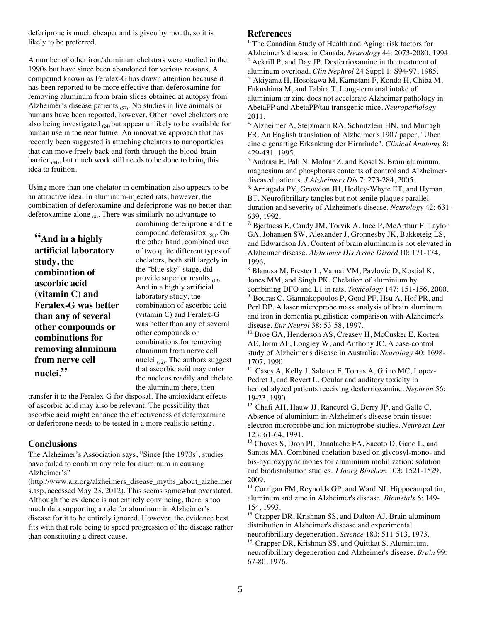deferiprone is much cheaper and is given by mouth, so it is likely to be preferred.

A number of other iron/aluminum chelators were studied in the 1990s but have since been abandoned for various reasons. A compound known as Feralex-G has drawn attention because it has been reported to be more effective than deferoxamine for removing aluminum from brain slices obtained at autopsy from Alzheimer's disease patients  $(57)$ . No studies in live animals or humans have been reported, however. Other novel chelators are also being investigated  $_{(24)}$  but appear unlikely to be available for human use in the near future. An innovative approach that has recently been suggested is attaching chelators to nanoparticles that can move freely back and forth through the blood-brain barrier  $_{(34)}$ , but much work still needs to be done to bring this idea to fruition.

Using more than one chelator in combination also appears to be an attractive idea. In aluminum-injected rats, however, the combination of deferoxamine and deferiprone was no better than deferoxamine alone  $_{(8)}$ . There was similarly no advantage to

**"And in a highly artificial laboratory study, the combination of ascorbic acid (vitamin C) and Feralex-G was better than any of several other compounds or combinations for removing aluminum from nerve cell nuclei."**

combining deferiprone and the compound deferasirox (58). On the other hand, combined use of two quite different types of chelators, both still largely in the "blue sky" stage, did provide superior results (13). And in a highly artificial laboratory study, the combination of ascorbic acid (vitamin C) and Feralex-G was better than any of several other compounds or combinations for removing aluminum from nerve cell nuclei  $_{(32)}$ . The authors suggest that ascorbic acid may enter the nucleus readily and chelate the aluminum there, then

transfer it to the Feralex-G for disposal. The antioxidant effects of ascorbic acid may also be relevant. The possibility that ascorbic acid might enhance the effectiveness of deferoxamine or deferiprone needs to be tested in a more realistic setting.

## **Conclusions**

The Alzheimer's Association says, "Since [the 1970s], studies have failed to confirm any role for aluminum in causing Alzheimer's"

(http://www.alz.org/alzheimers\_disease\_myths\_about\_alzheimer s.asp, accessed May 23, 2012). This seems somewhat overstated. Although the evidence is not entirely convincing, there is too much data supporting a role for aluminum in Alzheimer's disease for it to be entirely ignored. However, the evidence best fits with that role being to speed progression of the disease rather than constituting a direct cause.

### **References**

<sup>1.</sup> The Canadian Study of Health and Aging: risk factors for Alzheimer's disease in Canada. *Neurology* 44: 2073-2080, 1994. <sup>2.</sup> Ackrill P, and Day JP. Desferrioxamine in the treatment of aluminum overload. *Clin Nephrol* 24 Suppl 1: S94-97, 1985. <sup>3.</sup> Akiyama H, Hosokawa M, Kametani F, Kondo H, Chiba M, Fukushima M, and Tabira T. Long-term oral intake of aluminium or zinc does not accelerate Alzheimer pathology in AbetaPP and AbetaPP/tau transgenic mice. *Neuropathology*  2011.

<sup>4.</sup> Alzheimer A, Stelzmann RA, Schnitzlein HN, and Murtagh FR. An English translation of Alzheimer's 1907 paper, "Uber eine eigenartige Erkankung der Hirnrinde". *Clinical Anatomy* 8: 429-431, 1995.

5. Andrasi E, Pali N, Molnar Z, and Kosel S. Brain aluminum, magnesium and phosphorus contents of control and Alzheimerdiseased patients. *J Alzheimers Dis* 7: 273-284, 2005.

<sup>6.</sup> Arriagada PV, Growdon JH, Hedley-Whyte ET, and Hyman BT. Neurofibrillary tangles but not senile plaques parallel duration and severity of Alzheimer's disease. *Neurology* 42: 631- 639, 1992.

<sup>7.</sup> Bjertness E, Candy JM, Torvik A, Ince P, McArthur F, Taylor GA, Johansen SW, Alexander J, Gronnesby JK, Bakketeig LS, and Edwardson JA. Content of brain aluminum is not elevated in Alzheimer disease. *Alzheimer Dis Assoc Disord* 10: 171-174, 1996.

8. Blanusa M, Prester L, Varnai VM, Pavlovic D, Kostial K, Jones MM, and Singh PK. Chelation of aluminium by combining DFO and L1 in rats. *Toxicology* 147: 151-156, 2000. 9. Bouras C, Giannakopoulos P, Good PF, Hsu A, Hof PR, and Perl DP. A laser microprobe mass analysis of brain aluminum and iron in dementia pugilistica: comparison with Alzheimer's disease. *Eur Neurol* 38: 53-58, 1997.

10. Broe GA, Henderson AS, Creasey H, McCusker E, Korten AE, Jorm AF, Longley W, and Anthony JC. A case-control study of Alzheimer's disease in Australia. *Neurology* 40: 1698- 1707, 1990.

<sup>11.</sup> Cases A, Kelly J, Sabater F, Torras A, Grino MC, Lopez-Pedret J, and Revert L. Ocular and auditory toxicity in hemodialyzed patients receiving desferrioxamine. *Nephron* 56: 19-23, 1990.

<sup>12.</sup> Chafi AH, Hauw JJ, Rancurel G, Berry JP, and Galle C. Absence of aluminium in Alzheimer's disease brain tissue: electron microprobe and ion microprobe studies. *Neurosci Lett*  123: 61-64, 1991.

13. Chaves S, Dron PI, Danalache FA, Sacoto D, Gano L, and Santos MA. Combined chelation based on glycosyl-mono- and bis-hydroxypyridinones for aluminium mobilization: solution and biodistribution studies. *J Inorg Biochem* 103: 1521-1529, 2009.

<sup>14.</sup> Corrigan FM, Reynolds GP, and Ward NI. Hippocampal tin, aluminum and zinc in Alzheimer's disease. *Biometals* 6: 149- 154, 1993.

<sup>15.</sup> Crapper DR, Krishnan SS, and Dalton AJ. Brain aluminum distribution in Alzheimer's disease and experimental neurofibrillary degeneration. *Science* 180: 511-513, 1973.

<sup>16.</sup> Crapper DR, Krishnan SS, and Quittkat S. Aluminium, neurofibrillary degeneration and Alzheimer's disease. *Brain* 99: 67-80, 1976.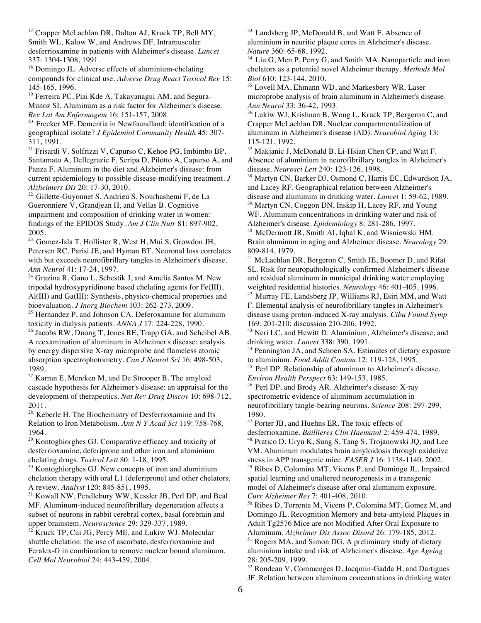<sup>17.</sup> Crapper McLachlan DR, Dalton AJ, Kruck TP, Bell MY, Smith WL, Kalow W, and Andrews DF. Intramuscular desferrioxamine in patients with Alzheimer's disease. *Lancet*  337: 1304-1308, 1991.

<sup>18.</sup> Domingo JL. Adverse effects of aluminium-chelating compounds for clinical use. *Adverse Drug React Toxicol Rev* 15: 145-165, 1996.

<sup>19.</sup> Ferreira PC, Piai Kde A, Takayanagui AM, and Segura-Munoz SI. Aluminum as a risk factor for Alzheimer's disease. *Rev Lat Am Enfermagem* 16: 151-157, 2008.

<sup>20.</sup> Frecker MF. Dementia in Newfoundland: identification of a geographical isolate? *J Epidemiol Community Health* 45: 307- 311, 1991.

21. Frisardi V, Solfrizzi V, Capurso C, Kehoe PG, Imbimbo BP, Santamato A, Dellegrazie F, Seripa D, Pilotto A, Capurso A, and Panza F. Aluminum in the diet and Alzheimer's disease: from current epidemiology to possible disease-modifying treatment. *J Alzheimers Dis* 20: 17-30, 2010.

22. Gillette-Guyonnet S, Andrieu S, Nourhashemi F, de La Gueronniere V, Grandjean H, and Vellas B. Cognitive impairment and composition of drinking water in women: findings of the EPIDOS Study. *Am J Clin Nutr* 81: 897-902, 2005.

23. Gomez-Isla T, Hollister R, West H, Mui S, Growdon JH, Petersen RC, Parisi JE, and Hyman BT. Neuronal loss correlates with but exceeds neurofibrillary tangles in Alzheimer's disease. *Ann Neurol* 41: 17-24, 1997.

<sup>24.</sup> Grazina R, Gano L, Sebestik J, and Amelia Santos M. New tripodal hydroxypyridinone based chelating agents for Fe(III), Al(III) and Ga(III): Synthesis, physico-chemical properties and bioevaluation. *J Inorg Biochem* 103: 262-273, 2009.

<sup>25.</sup> Hernandez P, and Johnson CA. Deferoxamine for aluminum toxicity in dialysis patients. *ANNA J* 17: 224-228, 1990.

<sup>26.</sup> Jacobs RW, Duong T, Jones RE, Trapp GA, and Scheibel AB. A reexamination of aluminum in Alzheimer's disease: analysis by energy dispersive X-ray microprobe and flameless atomic absorption spectrophotometry. *Can J Neurol Sci* 16: 498-503, 1989.

 $27$  Karran E, Mercken M, and De Strooper B. The amyloid cascade hypothesis for Alzheimer's disease: an appraisal for the development of therapeutics. *Nat Rev Drug Discov* 10: 698-712, 2011.

<sup>28.</sup> Keberle H. The Biochemistry of Desferrioxamine and Its Relation to Iron Metabolism. *Ann N Y Acad Sci* 119: 758-768, 1964.

<sup>29.</sup> Kontoghiorghes GJ. Comparative efficacy and toxicity of desferrioxamine, deferiprone and other iron and aluminium chelating drugs. *Toxicol Lett* 80: 1-18, 1995.

<sup>30.</sup> Kontoghiorghes GJ. New concepts of iron and aluminium chelation therapy with oral L1 (deferiprone) and other chelators. A review. *Analyst* 120: 845-851, 1995.

<sup>31.</sup> Kowall NW, Pendlebury WW, Kessler JB, Perl DP, and Beal MF. Aluminum-induced neurofibrillary degeneration affects a subset of neurons in rabbit cerebral cortex, basal forebrain and upper brainstem. *Neuroscience* 29: 329-337, 1989.

Kruck TP, Cui JG, Percy ME, and Lukiw WJ. Molecular shuttle chelation: the use of ascorbate, desferrioxamine and Feralex-G in combination to remove nuclear bound aluminum. *Cell Mol Neurobiol* 24: 443-459, 2004.

33. Landsberg JP, McDonald B, and Watt F. Absence of aluminium in neuritic plaque cores in Alzheimer's disease. *Nature* 360: 65-68, 1992.

<sup>34.</sup> Liu G, Men P, Perry G, and Smith MA. Nanoparticle and iron chelators as a potential novel Alzheimer therapy. *Methods Mol Biol* 610: 123-144, 2010.

<sup>35.</sup> Lovell MA, Ehmann WD, and Markesbery WR. Laser microprobe analysis of brain aluminum in Alzheimer's disease. *Ann Neurol* 33: 36-42, 1993.

36. Lukiw WJ, Krishnan B, Wong L, Kruck TP, Bergeron C, and Crapper McLachlan DR. Nuclear compartmentalization of aluminum in Alzheimer's disease (AD). *Neurobiol Aging* 13: 115-121, 1992.

37. Makjanic J, McDonald B, Li-Hsian Chen CP, and Watt F. Absence of aluminium in neurofibrillary tangles in Alzheimer's disease. *Neurosci Lett* 240: 123-126, 1998.

38. Martyn CN, Barker DJ, Osmond C, Harris EC, Edwardson JA, and Lacey RF. Geographical relation between Alzheimer's disease and aluminum in drinking water. *Lancet* 1: 59-62, 1989.

<sup>39.</sup> Martyn CN, Coggon DN, Inskip H, Lacey RF, and Young WF. Aluminum concentrations in drinking water and risk of Alzheimer's disease. *Epidemiology* 8: 281-286, 1997.

<sup>40.</sup> McDermott JR, Smith AI, Iqbal K, and Wisniewski HM. Brain aluminum in aging and Alzheimer disease. *Neurology* 29: 809-814, 1979.

41. McLachlan DR, Bergeron C, Smith JE, Boomer D, and Rifat SL. Risk for neuropathologically confirmed Alzheimer's disease and residual aluminum in municipal drinking water employing weighted residential histories. *Neurology* 46: 401-405, 1996.

<sup>42.</sup> Murray FE, Landsberg JP, Williams RJ, Esiri MM, and Watt F. Elemental analysis of neurofibrillary tangles in Alzheimer's disease using proton-induced X-ray analysis. *Ciba Found Symp*  169: 201-210; discussion 210-206, 1992.

<sup>43.</sup> Neri LC, and Hewitt D. Aluminium, Alzheimer's disease, and drinking water. *Lancet* 338: 390, 1991.

<sup>44.</sup> Pennington JA, and Schoen SA. Estimates of dietary exposure to aluminium. *Food Addit Contam* 12: 119-128, 1995.

<sup>45.</sup> Perl DP. Relationship of aluminum to Alzheimer's disease. *Environ Health Perspect* 63: 149-153, 1985.

46. Perl DP, and Brody AR. Alzheimer's disease: X-ray spectrometric evidence of aluminum accumulation in neurofibrillary tangle-bearing neurons. *Science* 208: 297-299, 1980.

47. Porter JB, and Huehns ER. The toxic effects of

desferrioxamine. *Baillieres Clin Haematol* 2: 459-474, 1989. <sup>48.</sup> Pratico D, Uryu K, Sung S, Tang S, Trojanowski JQ, and Lee VM. Aluminum modulates brain amyloidosis through oxidative stress in APP transgenic mice. *FASEB J* 16: 1138-1140, 2002. 49. Ribes D, Colomina MT, Vicens P, and Domingo JL. Impaired spatial learning and unaltered neurogenesis in a transgenic model of Alzheimer's disease after oral aluminum exposure. *Curr Alzheimer Res* 7: 401-408, 2010.

50. Ribes D, Torrente M, Vicens P, Colomina MT, Gomez M, and Domingo JL. Recognition Memory and beta-amyloid Plaques in Adult Tg2576 Mice are not Modified After Oral Exposure to Aluminum. *Alzheimer Dis Assoc Disord* 26: 179-185, 2012. 51. Rogers MA, and Simon DG. A preliminary study of dietary aluminium intake and risk of Alzheimer's disease. *Age Ageing*  28: 205-209, 1999.

52. Rondeau V, Commenges D, Jacqmin-Gadda H, and Dartigues JF. Relation between aluminum concentrations in drinking water